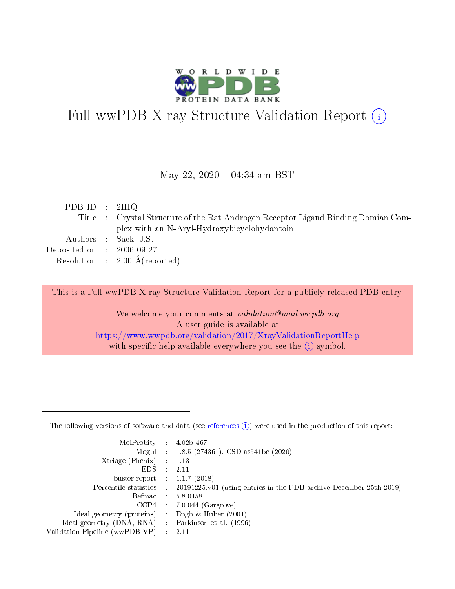

# Full wwPDB X-ray Structure Validation Report (i)

#### May 22,  $2020 - 04:34$  am BST

| PDB ID : $2HQ$              |                                                                                   |
|-----------------------------|-----------------------------------------------------------------------------------|
|                             | Title : Crystal Structure of the Rat Androgen Receptor Ligand Binding Domian Com- |
|                             | plex with an N-Aryl-Hydroxybicyclohydantoin                                       |
|                             | Authors : Sack, J.S.                                                              |
| Deposited on : $2006-09-27$ |                                                                                   |
|                             | Resolution : $2.00 \text{ Å}$ (reported)                                          |
|                             |                                                                                   |

This is a Full wwPDB X-ray Structure Validation Report for a publicly released PDB entry.

We welcome your comments at validation@mail.wwpdb.org A user guide is available at <https://www.wwpdb.org/validation/2017/XrayValidationReportHelp> with specific help available everywhere you see the  $(i)$  symbol.

The following versions of software and data (see [references](https://www.wwpdb.org/validation/2017/XrayValidationReportHelp#references)  $(1)$ ) were used in the production of this report:

| MolProbity                     | $\mathcal{L}_{\rm{max}}$ | $4.02b - 467$                                                                |
|--------------------------------|--------------------------|------------------------------------------------------------------------------|
|                                |                          | Mogul : $1.8.5$ (274361), CSD as 541be (2020)                                |
| $X$ triage (Phenix) :          |                          | 1.13                                                                         |
| EDS.                           |                          | 2.11                                                                         |
| buster-report : $1.1.7$ (2018) |                          |                                                                              |
| Percentile statistics :        |                          | $20191225 \text{ v}01$ (using entries in the PDB archive December 25th 2019) |
| Refmac                         |                          | 5.8.0158                                                                     |
| $CCP4$ :                       |                          | $7.0.044$ (Gargrove)                                                         |
| Ideal geometry (proteins) :    |                          | Engh $\&$ Huber (2001)                                                       |
| Ideal geometry (DNA, RNA) :    |                          | Parkinson et al. (1996)                                                      |
| Validation Pipeline (wwPDB-VP) | $\mathcal{L}$            | -2.11                                                                        |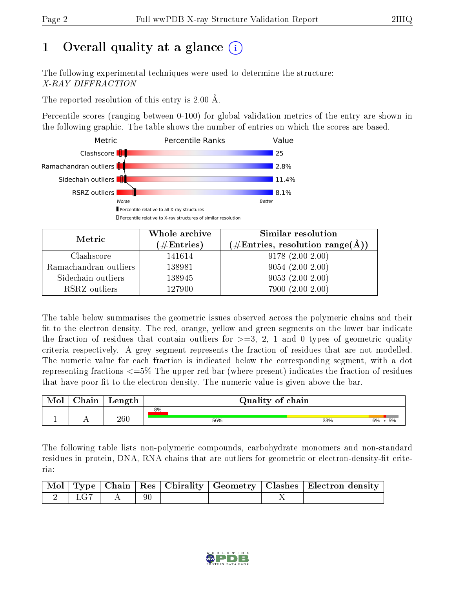# 1 [O](https://www.wwpdb.org/validation/2017/XrayValidationReportHelp#overall_quality)verall quality at a glance  $(i)$

The following experimental techniques were used to determine the structure: X-RAY DIFFRACTION

The reported resolution of this entry is 2.00 Å.

Percentile scores (ranging between 0-100) for global validation metrics of the entry are shown in the following graphic. The table shows the number of entries on which the scores are based.



| Metric                | Whole archive<br>$(\#\text{Entries})$ | Similar resolution<br>$(\#\text{Entries}, \text{resolution range}(\text{\AA}))$ |
|-----------------------|---------------------------------------|---------------------------------------------------------------------------------|
| Clashscore            | 141614                                | $9178(2.00-2.00)$                                                               |
| Ramachandran outliers | 138981                                | $9054(2.00-2.00)$                                                               |
| Sidechain outliers    | 138945                                | $9053(2.00-2.00)$                                                               |
| RSRZ outliers         | 127900                                | $7900(2.00-2.00)$                                                               |

The table below summarises the geometric issues observed across the polymeric chains and their fit to the electron density. The red, orange, yellow and green segments on the lower bar indicate the fraction of residues that contain outliers for  $\geq=3$ , 2, 1 and 0 types of geometric quality criteria respectively. A grey segment represents the fraction of residues that are not modelled. The numeric value for each fraction is indicated below the corresponding segment, with a dot representing fractions <=5% The upper red bar (where present) indicates the fraction of residues that have poor fit to the electron density. The numeric value is given above the bar.

| Mol | Chain | Length  |     | Quality of chain |           |  |  |  |  |  |
|-----|-------|---------|-----|------------------|-----------|--|--|--|--|--|
|     |       |         | 8%  |                  |           |  |  |  |  |  |
|     |       | $260\,$ | 56% | 33%              | .5%<br>6% |  |  |  |  |  |

The following table lists non-polymeric compounds, carbohydrate monomers and non-standard residues in protein, DNA, RNA chains that are outliers for geometric or electron-density-fit criteria:

|  |                                                                                               |  |  | Mol   Type   Chain   Res   Chirality   Geometry   Clashes   Electron density |
|--|-----------------------------------------------------------------------------------------------|--|--|------------------------------------------------------------------------------|
|  | $\begin{array}{ c c c c c c c c c } \hline 2 & \text{LG7} & \text{A} & 90 \hline \end{array}$ |  |  |                                                                              |

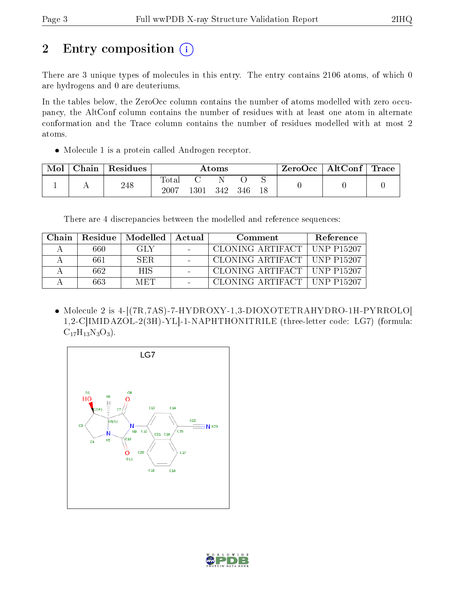# 2 Entry composition (i)

There are 3 unique types of molecules in this entry. The entry contains 2106 atoms, of which 0 are hydrogens and 0 are deuteriums.

In the tables below, the ZeroOcc column contains the number of atoms modelled with zero occupancy, the AltConf column contains the number of residues with at least one atom in alternate conformation and the Trace column contains the number of residues modelled with at most 2 atoms.

• Molecule 1 is a protein called Androgen receptor.

| Mol | $\perp$ Chain $\perp$ | Residues | Atoms                   |      |     |     | $ZeroOcc \   \$ AltConf | $\mid$ Trace $\mid$ |  |
|-----|-----------------------|----------|-------------------------|------|-----|-----|-------------------------|---------------------|--|
|     |                       | 248      | $\rm Total$<br>$2007\,$ | 1301 | 342 | 346 |                         |                     |  |

There are 4 discrepancies between the modelled and reference sequences:

| Chain. | Residue l | $\parallel$ Modelled $\parallel$ Actual | Comment                       |  |
|--------|-----------|-----------------------------------------|-------------------------------|--|
|        | 660       | -GLY                                    | CLONING ARTIFACT   UNP P15207 |  |
|        | 661       | SER.                                    | CLONING ARTIFACT   UNP P15207 |  |
|        | 662.      | <b>HIS</b>                              | CLONING ARTIFACT   UNP P15207 |  |
|        | 663       | MET                                     | CLONING ARTIFACT   UNP P15207 |  |

 Molecule 2 is 4-[(7R,7AS)-7-HYDROXY-1,3-DIOXOTETRAHYDRO-1H-PYRROLO[ 1,2-C]IMIDAZOL-2(3H)-YL]-1-NAPHTHONITRILE (three-letter code: LG7) (formula:  $C_{17}H_{13}N_3O_3$ .



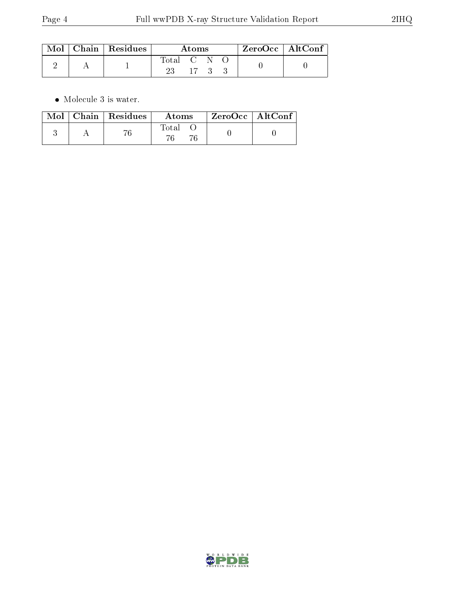|  | $\mid$ Mol $\mid$ Chain $\mid$ Residues | Atoms     |    |  |  | $ZeroOcc \   \ AltConf$ |  |
|--|-----------------------------------------|-----------|----|--|--|-------------------------|--|
|  |                                         | Total C N | 17 |  |  |                         |  |

 $\bullet\,$  Molecule 3 is water.

|  | $Mol$   Chain   Residues | Atoms | $\rm ZeroOcc$   $\rm AltConf$ |  |
|--|--------------------------|-------|-------------------------------|--|
|  |                          | Total |                               |  |

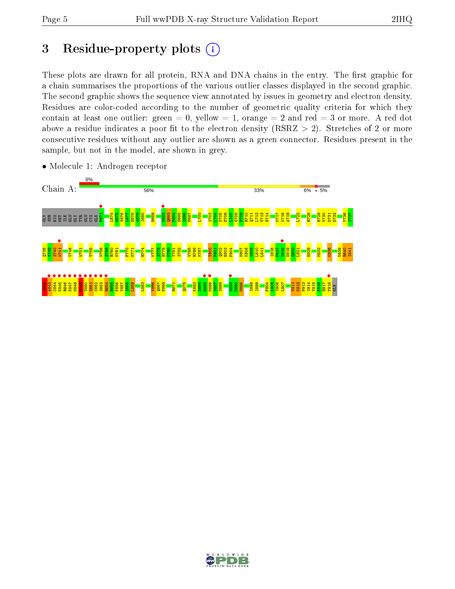# 3 Residue-property plots  $(i)$

These plots are drawn for all protein, RNA and DNA chains in the entry. The first graphic for a chain summarises the proportions of the various outlier classes displayed in the second graphic. The second graphic shows the sequence view annotated by issues in geometry and electron density. Residues are color-coded according to the number of geometric quality criteria for which they contain at least one outlier: green  $= 0$ , yellow  $= 1$ , orange  $= 2$  and red  $= 3$  or more. A red dot above a residue indicates a poor fit to the electron density (RSRZ  $> 2$ ). Stretches of 2 or more consecutive residues without any outlier are shown as a green connector. Residues present in the sample, but not in the model, are shown in grey.



• Molecule 1: Androgen receptor

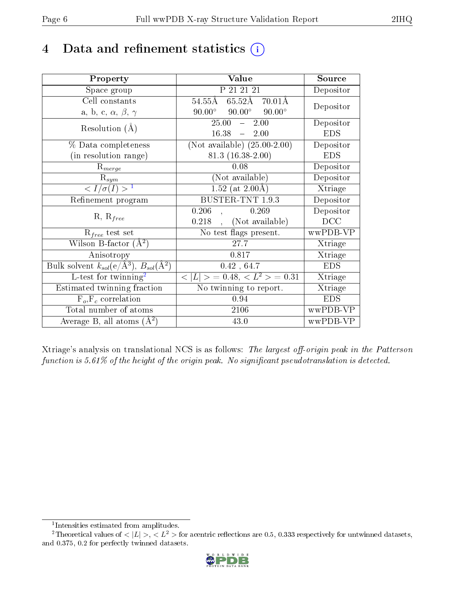# 4 Data and refinement statistics  $(i)$

| Property                                                             | Value                                           | Source     |
|----------------------------------------------------------------------|-------------------------------------------------|------------|
| Space group                                                          | P 21 21 21                                      | Depositor  |
| Cell constants                                                       | 65.52Å 70.01Å<br>$54.55\text{\AA}$              | Depositor  |
| a, b, c, $\alpha$ , $\beta$ , $\gamma$                               | $90.00^\circ$<br>$90.00^\circ$<br>$90.00^\circ$ |            |
| Resolution $(A)$                                                     | 25.00<br>2.00<br>$\frac{1}{2}$                  | Depositor  |
|                                                                      | 16.38<br>$-2.00$                                | <b>EDS</b> |
| % Data completeness                                                  | (Not available) $(25.00-2.00)$                  | Depositor  |
| (in resolution range)                                                | $81.3(16.38-2.00)$                              | <b>EDS</b> |
| $R_{merge}$                                                          | 0.08                                            | Depositor  |
| $\mathrm{R}_{sym}$                                                   | (Not available)                                 | Depositor  |
| $\langle I/\sigma(I) \rangle^{-1}$                                   | $1.52$ (at 2.00Å)                               | Xtriage    |
| Refinement program                                                   | <b>BUSTER-TNT 1.9.3</b>                         | Depositor  |
| $R, R_{free}$                                                        | 0.269<br>0.206                                  | Depositor  |
|                                                                      | (Not available)<br>0.218                        | DCC        |
| $\mathcal{R}_{free}$ test set                                        | No test flags present.                          | wwPDB-VP   |
| Wilson B-factor $(A^2)$                                              | 27.7                                            | Xtriage    |
| Anisotropy                                                           | 0.817                                           | Xtriage    |
| Bulk solvent $k_{sol}(e/\mathring{A}^3)$ , $B_{sol}(\mathring{A}^2)$ | 0.42, 64.7                                      | <b>EDS</b> |
| $L$ -test for twinning <sup>2</sup>                                  | $< L >$ = 0.48, $< L2 >$ = 0.31                 | Xtriage    |
| Estimated twinning fraction                                          | No twinning to report.                          | Xtriage    |
| $F_o, F_c$ correlation                                               | 0.94                                            | <b>EDS</b> |
| Total number of atoms                                                | 2106                                            | wwPDB-VP   |
| Average B, all atoms $(A^2)$                                         | 43.0                                            | wwPDB-VP   |

Xtriage's analysis on translational NCS is as follows: The largest off-origin peak in the Patterson function is  $5.61\%$  of the height of the origin peak. No significant pseudotranslation is detected.

<sup>&</sup>lt;sup>2</sup>Theoretical values of  $\langle |L| \rangle$ ,  $\langle L^2 \rangle$  for acentric reflections are 0.5, 0.333 respectively for untwinned datasets, and 0.375, 0.2 for perfectly twinned datasets.



<span id="page-5-1"></span><span id="page-5-0"></span><sup>1</sup> Intensities estimated from amplitudes.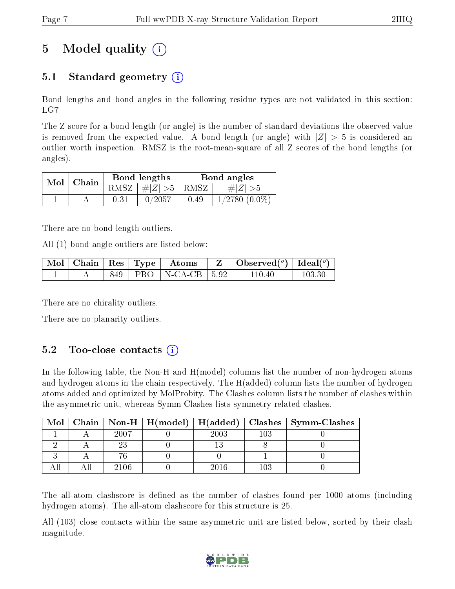# 5 Model quality  $(i)$

## 5.1 Standard geometry  $(i)$

Bond lengths and bond angles in the following residue types are not validated in this section: LG7

The Z score for a bond length (or angle) is the number of standard deviations the observed value is removed from the expected value. A bond length (or angle) with  $|Z| > 5$  is considered an outlier worth inspection. RMSZ is the root-mean-square of all Z scores of the bond lengths (or angles).

| $Mol$   Chain |      | Bond lengths                            | Bond angles |                    |  |
|---------------|------|-----------------------------------------|-------------|--------------------|--|
|               |      | RMSZ $\mid \#  Z  > 5 \mid$ RMSZ $\mid$ |             | $\# Z  > 5$        |  |
|               | 0.31 | 0/2057                                  | 0.49        | $1/2780$ $(0.0\%)$ |  |

There are no bond length outliers.

All (1) bond angle outliers are listed below:

|  |     | $\parallel$ Mol $\parallel$ Chain $\parallel$ Res $\parallel$ Type $\parallel$ Atoms | $\mid$ Observed $({}^o)$ $\mid$ Ideal $({}^o)$ |        |
|--|-----|--------------------------------------------------------------------------------------|------------------------------------------------|--------|
|  | 849 | $ $ PRO $ $ N-CA-CB $ $ 5.92 $ $                                                     | 110 40                                         | 103 30 |

There are no chirality outliers.

There are no planarity outliers.

### $5.2$  Too-close contacts  $(i)$

In the following table, the Non-H and H(model) columns list the number of non-hydrogen atoms and hydrogen atoms in the chain respectively. The H(added) column lists the number of hydrogen atoms added and optimized by MolProbity. The Clashes column lists the number of clashes within the asymmetric unit, whereas Symm-Clashes lists symmetry related clashes.

| Mol |      |      |     | Chain   Non-H   H(model)   H(added)   Clashes   Symm-Clashes |
|-----|------|------|-----|--------------------------------------------------------------|
|     | 2007 | 2003 | 103 |                                                              |
|     |      |      |     |                                                              |
|     |      |      |     |                                                              |
|     | 2106 | 2016 | 103 |                                                              |

The all-atom clashscore is defined as the number of clashes found per 1000 atoms (including hydrogen atoms). The all-atom clashscore for this structure is 25.

All (103) close contacts within the same asymmetric unit are listed below, sorted by their clash magnitude.

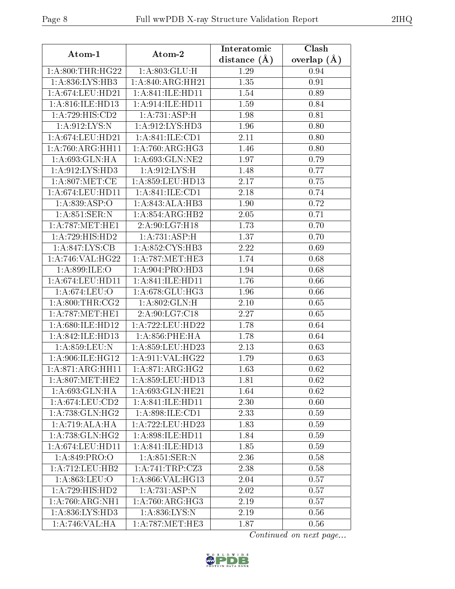| Atom-1                               | Atom-2                           | Interatomic    | Clash           |  |
|--------------------------------------|----------------------------------|----------------|-----------------|--|
|                                      |                                  | distance $(A)$ | overlap $(\AA)$ |  |
| 1:A:800:THR:HG22                     | 1: A:803: GLU: H                 | 1.29           | 0.94            |  |
| 1:A:836:LYS:HB3                      | 1: A:840:ARG:HH21                | 1.35           | 0.91            |  |
| 1: A:674:LEU:HD21                    | 1: A:841: ILE: H <sub>D11</sub>  | 1.54           | 0.89            |  |
| 1:A:816:ILE:HD13                     | 1:A:914:ILE:HD11                 | 1.59           | 0.84            |  |
| 1:A:729:HIS:CD2                      | 1:A:731:ASP:H                    | 1.98           | 0.81            |  |
| 1:A:912:LYS:N                        | 1: A:912: LYS: HD3               | 1.96           | 0.80            |  |
| 1: A:674:LEU:HD21                    | 1: A:841: ILE: CD1               | 2.11           | 0.80            |  |
| 1:A:760:ARG:HH11                     | 1: A:760:ARG:HG3                 | 1.46           | 0.80            |  |
| 1: A:693: GLN: HA                    | 1: A:693: GLN: NE2               | 1.97           | 0.79            |  |
| 1: A:912: LYS: HD3                   | 1:A:912:LYS:H                    | 1.48           | 0.77            |  |
| 1: A:807: MET:CE                     | 1: A:859:LEU:HD13                | 2.17           | 0.75            |  |
| 1: A:674:LEU:HD11                    | 1: A:841: ILE: CD1               | 2.18           | 0.74            |  |
| 1:A.839:ASP:O                        | 1:A:843:ALA:HB3                  | 1.90           | 0.72            |  |
| 1: A:851:SER:N                       | 1:A:854:ARG:HB2                  | 2.05           | 0.71            |  |
| 1: A:787: MET:HE1                    | 2:A:90:LG7:H18                   | 1.73           | 0.70            |  |
| 1: A: 729: HIS: HD2                  | 1:A:731:ASP:H                    | 1.37           | 0.70            |  |
| 1:A:847:LYS:CB                       | 1: A:852: CYS:HB3                | 2.22           | 0.69            |  |
| 1: A:746: VAL:HG22                   | 1: A:787:MET:HE3                 | 1.74           | 0.68            |  |
| 1:A:899:ILE:O                        | 1: A:904: PRO:HD3                | 1.94           | 0.68            |  |
| $1:\overline{A}:674:\text{LEU}:HD11$ | $1: A:841: ILE: H\overline{D11}$ | 1.76           | 0.66            |  |
| 1:A:674:LEU:O                        | 1:A:678:GLU:HG3                  | 1.96           | 0.66            |  |
| 1: A:800:THR:CG2                     | 1:A:802:GLN:H                    | 2.10           | 0.65            |  |
| 1: A:787: MET:HE1                    | 2:A:90:LG7:C18                   | 2.27           | 0.65            |  |
| 1:A:680:ILE:HD12                     | 1:A:722:LEU:HD22                 | 1.78           | 0.64            |  |
| 1: A:842:ILE:HD13                    | $1: A:856:$ PHE:HA               | 1.78           | 0.64            |  |
| 1:A:859:LEU:N                        | 1:A:859:LEU:HD23                 | 2.13           | 0.63            |  |
| 1:A:906:ILE:HG12                     | 1: A:911: VAL:HG22               | 1.79           | 0.63            |  |
| 1:A:871:ARG:HH11                     | 1: A:871: ARG: HG2               | 1.63           | 0.62            |  |
| $1: A:807$ : MET: HE2                | 1:A:859:LEU:HD13                 | 1.81           | 0.62            |  |
| 1:A:693:GLN:HA                       | 1:A:693:GLN:HE21                 | 1.64           | 0.62            |  |
| 1:A:674:LEU:CD2                      | 1: A:841: ILE: HDI1              | 2.30           | 0.60            |  |
| 1: A:738: GLN: HG2                   | 1: A:898: ILE: CD1               | 2.33           | 0.59            |  |
| 1: A:719:ALA:HA                      | 1:A:722:LEU:HD23                 | 1.83           | 0.59            |  |
| 1: A:738: GLN: HG2                   | 1:A:898:ILE:HD11                 | 1.84           | 0.59            |  |
| 1: A:674:LEU:HD11                    | 1:A:841:ILE:HD13                 | 1.85           | 0.59            |  |
| 1: A:849: PRO:O                      | 1: A:851:SER:N                   | 2.36           | 0.58            |  |
| 1: A: 712: LEU: HB2                  | 1: A:741:TRP: CZ3                | 2.38           | 0.58            |  |
| 1:A:863:LEU:O                        | 1:A:866:VAL:HG13                 | 2.04           | 0.57            |  |
| 1:A:729:HIS:HD2                      | 1:A:731:ASP:N                    | 2.02           | 0.57            |  |
| 1:A:760:ARG:NH1                      | 1:A:760:ARG:HG3                  | 2.19           | 0.57            |  |
| 1:A:836:LYS:HD3                      | 1:A:836:LYS:N                    | 2.19           | 0.56            |  |
| 1:A:746:VAL:HA                       | 1: A:787:MET:HE3                 | 1.87           | 0.56            |  |

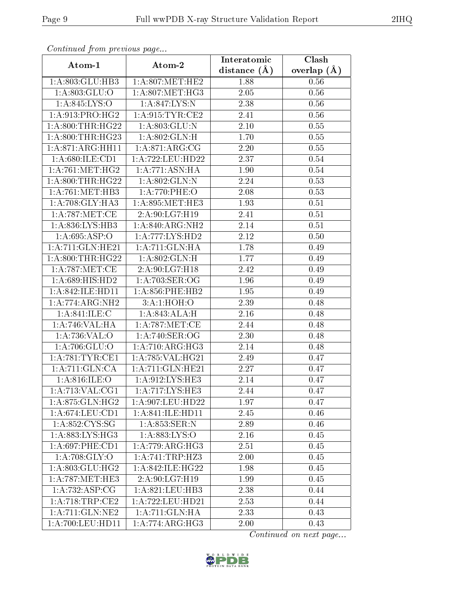| Commuca from previous page      |                      | Interatomic       | Clash         |  |
|---------------------------------|----------------------|-------------------|---------------|--|
| Atom-1                          | Atom-2               | distance $(\AA)$  | overlap $(A)$ |  |
| 1:A:803:GLU:HB3                 | 1: A:807: MET:HE2    | 1.88              | 0.56          |  |
| 1:A:803:GLU:O                   | 1: A:807: MET:HG3    | $\overline{2.05}$ | 0.56          |  |
| 1: A:845: LYS:O                 | 1: A:847:LYS:N       | 2.38              | 0.56          |  |
| 1: A:913: PRO:HG2               | 1: A:915: TYR: CE2   | 2.41              | 0.56          |  |
| 1: A:800:THR:HG22               | 1: A:803: GLU:N      | $2.10\,$          | 0.55          |  |
| 1: A:800:THR:HG23               | 1:A:802:GLN:H        | 1.70              | 0.55          |  |
| 1:A:871:ARG:HH11                | 1: A:871: ARG: CG    | 2.20              | 0.55          |  |
| 1: A:680: ILE: CD1              | 1:A:722:LEU:HD22     | 2.37              | 0.54          |  |
| 1: A:761:MET:HG2                | 1:A:771:ASN:HA       | 1.90              | 0.54          |  |
| 1: A:800:THR:HG22               | 1:A:802:GLN:N        | 2.24              | 0.53          |  |
| 1: A:761:MET:HB3                | 1: A:770: PHE:O      | 2.08              | 0.53          |  |
| 1: A:708: GLY:HA3               | 1:A:895:MET:HE3      | 1.93              | 0.51          |  |
| 1: A:787: MET:CE                | 2:A:90:LG7:H19       | 2.41              | 0.51          |  |
| $1: A:836: LYS: \overline{HB3}$ | 1: A:840:ARG:NH2     | 2.14              | 0.51          |  |
| 1: A:695: ASP:O                 | 1:A:777:LYS:HD2      | 2.12              | 0.50          |  |
| 1: A:711: GLN: HE21             | 1: A:711: GLN: HA    | 1.78              | 0.49          |  |
| 1: A:800:THR:HG22               | 1: A:802: GLN:H      | 1.77              | 0.49          |  |
| 1: A:787: MET:CE                | 2:A:90:LG7:H18       | 2.42              | 0.49          |  |
| 1:A:689:HIS:HD2                 | 1: A:703: SER:OG     | 1.96              | 0.49          |  |
| 1:A:842:ILE:HD11                | 1: A:856:PHE:HB2     | 1.95              | 0.49          |  |
| 1:A:774:ARG:NH2                 | 3: A:1: HOH:O        | 2.39              | 0.48          |  |
| 1: A:841: ILE:C                 | 1: A:843:ALA:H       | 2.16              | 0.48          |  |
| 1:A:746:VAL:HA                  | 1: A:787:MET:CE      | 2.44              | 0.48          |  |
| 1:A:736:VAL:O                   | 1:A:740:SER:OG       | 2.30              | 0.48          |  |
| 1:A:706:GLU:O                   | 1: A:710:ARG:HG3     | 2.14              | 0.48          |  |
| 1: A:781:TYR:CE1                | 1:A:785:VAL:HG21     | 2.49              | 0.47          |  |
| 1: A:711: GLN:CA                | 1:A:711:GLN:HE21     | 2.27              | 0.47          |  |
| 1: A:816: ILE: O                | 1: A:912: LYS: HE3   | 2.14              | 0.47          |  |
| 1:A:713:VAL:CG1                 | 1: A:717: LYS: HE3   | 2.44              | 0.47          |  |
| 1:A:875:GLN:HG2                 | 1: A:907:LEU:HD22    | 1.97              | 0.47          |  |
| 1: A:674:LEU:CD1                | 1: A:841: ILE: HDI1  | 2.45              | 0.46          |  |
| 1:A:852:CYS:SG                  | 1:A:853:SER:N        | 2.89              | 0.46          |  |
| 1: A: 883: LYS: HG3             | 1: A: 883: LYS: O    | 2.16              | 0.45          |  |
| 1: A:697:PHE:CD1                | 1: A:779:ARG:HG3     | 2.51              | 0.45          |  |
| 1: A:708: GLY:O                 | 1:A:741:TRP:HZ3      | 2.00              | 0.45          |  |
| 1: A:803: GLU:HG2               | 1:A:842:ILE:HG22     | 1.98              | 0.45          |  |
| 1: A:787: MET:HE3               | 2:A:90:LG7:H19       | 1.99              | 0.45          |  |
| 1:A:732:ASP:CG                  | 1: A:821: LEU:HB3    | 2.38              | 0.44          |  |
| 1: A:718:TRP:CE2                | 1: A: 722: LEU: HD21 | 2.53              | 0.44          |  |
| 1: A:711: GLN:NE2               | 1:A:711:GLN:HA       | 2.33              | 0.43          |  |
| 1:A:700:LEU:HD11                | 1: A:774: ARG:HG3    | 2.00              | 0.43          |  |

Continued from previous page.

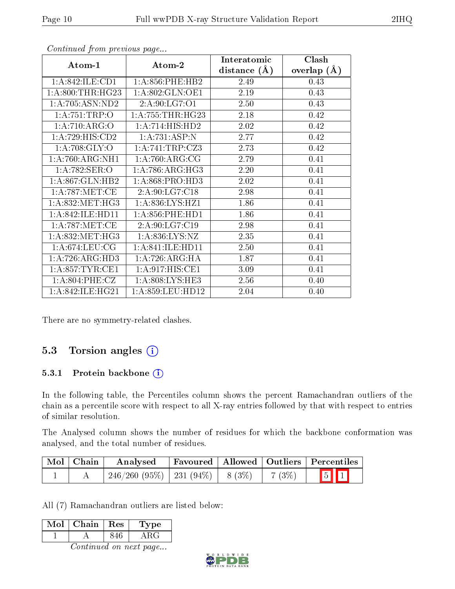| Atom-1                            | Atom-2                       | Interatomic    | Clash         |
|-----------------------------------|------------------------------|----------------|---------------|
|                                   |                              | distance $(A)$ | overlap $(A)$ |
| 1:A:842:ILE:CD1                   | 1: A:856:PHE:HB2             | 2.49           | 0.43          |
| 1: A:800:THR:HG23                 | 1:A:802:GLN:OE1              | 2.19           | 0.43          |
| 1: A:705: ASN:ND2                 | 2:A:90:LG7:O1                | 2.50           | 0.43          |
| 1: A:751:TRP:O                    | 1: A: 755: THR: HG23         | 2.18           | 0.42          |
| 1:A:710:ARG:O                     | 1:A:714:HIS:HD2              | 2.02           | 0.42          |
| 1:A:729:HIS:CD2                   | 1:A:731:ASP:N                | 2.77           | 0.42          |
| 1: A:708: GLY:O                   | 1:A:741:TRP:CZ3              | 2.73           | 0.42          |
| 1:A:760:ARG:NH1                   | 1: A:760:ARG:CG              | 2.79           | 0.41          |
| $1:A:782:\overline{\text{SER}:O}$ | $1:A:786:ARG:\overline{HG3}$ | 2.20           | 0.41          |
| 1: A:867: GLN:HB2                 | 1: A:868: PRO:HD3            | 2.02           | 0.41          |
| 1: A:787: MET:CE                  | 2:A:90:LG7:C18               | 2.98           | 0.41          |
| 1: A:832:MET:HG3                  | 1:A:836:LYS:HZ1              | 1.86           | 0.41          |
| 1:A:842:ILE:HD11                  | 1: A:856:PHE:HD1             | 1.86           | 0.41          |
| 1: A:787: MET:CE                  | 2:A:90:LG7:C19               | 2.98           | 0.41          |
| 1:A:832:MET:HG3                   | 1: A:836: LYS: NZ            | 2.35           | 0.41          |
| 1: A:674:LEU:CG                   | 1:A:841:ILE:HD11             | 2.50           | 0.41          |
| 1: A:726: ARG:HD3                 | 1: A:726: ARG: HA            | 1.87           | 0.41          |
| 1: A:857:TYR:CE1                  | 1:A:917:HIS:CE1              | 3.09           | 0.41          |
| 1: A:804:PHE:CZ                   | 1: A:808: LYS: HE3           | 2.56           | 0.40          |
| 1: A:842: ILE: HG21               | 1: A:859: LEU: HD12          | 2.04           | 0.40          |

Continued from previous page...

There are no symmetry-related clashes.

### 5.3 Torsion angles (i)

#### 5.3.1 Protein backbone (i)

In the following table, the Percentiles column shows the percent Ramachandran outliers of the chain as a percentile score with respect to all X-ray entries followed by that with respect to entries of similar resolution.

The Analysed column shows the number of residues for which the backbone conformation was analysed, and the total number of residues.

| $\blacksquare$ Mol $\blacksquare$ Chain | Analysed                                |  |       | Favoured   Allowed   Outliers   Percentiles |  |
|-----------------------------------------|-----------------------------------------|--|-------|---------------------------------------------|--|
|                                         | $246/260$ (95\%)   231 (94\%)   8 (3\%) |  | 7(3%) | $\boxed{5}$ $\boxed{1}$                     |  |

All (7) Ramachandran outliers are listed below:

| Mol | Chain | $\parallel$ Res | 'Type |
|-----|-------|-----------------|-------|
|     |       | 846             | A R ( |
|     |       |                 |       |

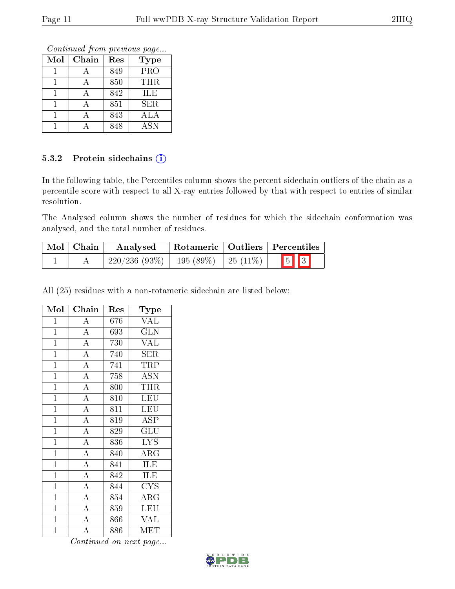Continued from previous page...

| Mol | Chain | Res | <b>Type</b> |
|-----|-------|-----|-------------|
|     |       | 849 | PRO         |
|     |       | 850 | THR         |
|     |       | 842 | ILE         |
|     |       | 851 | SER.        |
|     |       | 843 | ALA         |
|     |       | 848 | <b>ASN</b>  |

#### 5.3.2 Protein sidechains (i)

In the following table, the Percentiles column shows the percent sidechain outliers of the chain as a percentile score with respect to all X-ray entries followed by that with respect to entries of similar resolution.

The Analysed column shows the number of residues for which the sidechain conformation was analysed, and the total number of residues.

| Mol   Chain | Analysed                                  | Rotameric   Outliers   Percentiles |  |                         |  |
|-------------|-------------------------------------------|------------------------------------|--|-------------------------|--|
|             | $220/236$ (93\%)   195 (89\%)   25 (11\%) |                                    |  | $\boxed{5}$ $\boxed{3}$ |  |

All (25) residues with a non-rotameric sidechain are listed below:

| $\overline{\text{Mol}}$ | Chain              | Res | Type                    |
|-------------------------|--------------------|-----|-------------------------|
| $\mathbf{1}$            | $\overline{A}$     | 676 | <b>VAL</b>              |
| $\overline{1}$          | $\overline{A}$     | 693 | $\overline{\text{GLN}}$ |
| $\overline{1}$          | $\overline{A}$     | 730 | $\overline{\text{VAL}}$ |
| $\overline{1}$          | $\overline{A}$     | 740 | <b>SER</b>              |
| $\overline{1}$          | $\overline{A}$     | 741 | <b>TRP</b>              |
| $\overline{1}$          | $\overline{A}$     | 758 | $\overline{\text{ASN}}$ |
| $\mathbf{1}$            | $\overline{\rm A}$ | 800 | <b>THR</b>              |
| $\overline{1}$          | $\overline{A}$     | 810 | <b>LEU</b>              |
| $\mathbf{1}$            | $\overline{A}$     | 811 | <b>LEU</b>              |
| $\overline{1}$          | $\overline{A}$     | 819 | ASP                     |
| $\mathbf{1}$            | $\overline{A}$     | 829 | GLU                     |
| $\overline{1}$          | $\overline{A}$     | 836 | <b>LYS</b>              |
| $\mathbf{1}$            | $\overline{A}$     | 840 | $\rm{ARG}$              |
| $\overline{1}$          | $\overline{A}$     | 841 | ILE                     |
| $\mathbf{1}$            | $\overline{A}$     | 842 | ILE                     |
| $\overline{1}$          | $\overline{A}$     | 844 | <b>CYS</b>              |
| $\mathbf{1}$            | $\overline{A}$     | 854 | $\rm{ARG}$              |
| $\mathbf{1}$            | $\overline{A}$     | 859 | LEU                     |
| $\mathbf{1}$            | $\overline{\rm A}$ | 866 | <b>VAL</b>              |
| $\overline{1}$          | $\overline{\rm A}$ | 886 | MET                     |

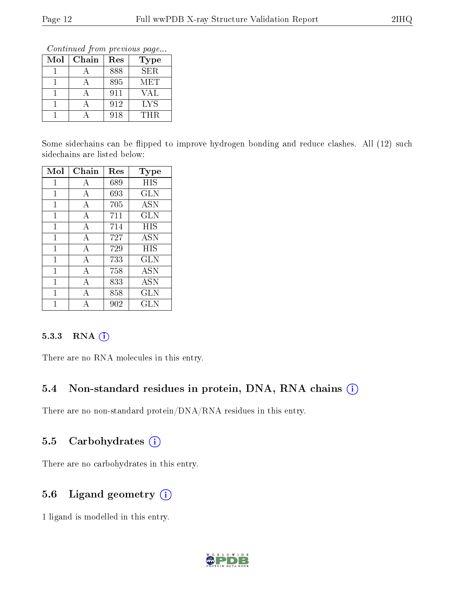Continued from previous page...

| Mol | Chain | Res | Type       |
|-----|-------|-----|------------|
|     |       | 888 | <b>SER</b> |
|     |       | 895 | MET        |
|     |       | 911 | VAL        |
|     |       | 912 | LYS        |
|     |       | 918 | THR        |

Some sidechains can be flipped to improve hydrogen bonding and reduce clashes. All (12) such sidechains are listed below:

| Mol          | Chain        | Res | Type       |
|--------------|--------------|-----|------------|
| 1            | А            | 689 | HIS        |
| 1            | А            | 693 | GLN        |
| 1            | А            | 705 | <b>ASN</b> |
| $\mathbf{1}$ | A            | 711 | <b>GLN</b> |
| $\mathbf{1}$ | $\mathbf{A}$ | 714 | HIS        |
| $\mathbf{1}$ | A            | 727 | <b>ASN</b> |
| 1            | А            | 729 | HIS        |
| 1            | А            | 733 | <b>GLN</b> |
| $\mathbf{1}$ | А            | 758 | <b>ASN</b> |
| $\mathbf{1}$ | А            | 833 | <b>ASN</b> |
| 1            | A            | 858 | <b>GLN</b> |
| 1            |              | 902 | <b>GLN</b> |

#### 5.3.3 RNA (1)

There are no RNA molecules in this entry.

### 5.4 Non-standard residues in protein, DNA, RNA chains (i)

There are no non-standard protein/DNA/RNA residues in this entry.

### 5.5 Carbohydrates (i)

There are no carbohydrates in this entry.

### 5.6 Ligand geometry (i)

1 ligand is modelled in this entry.

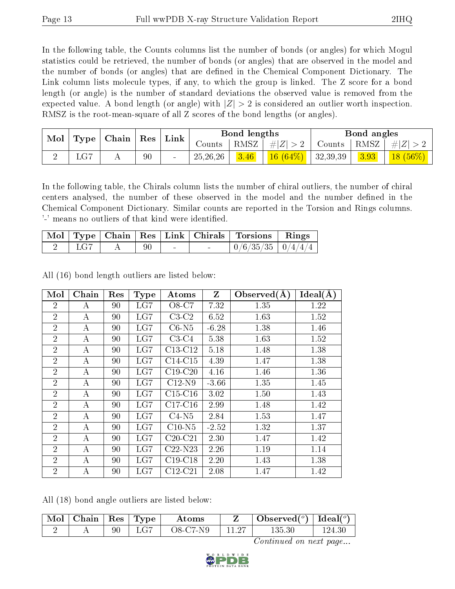In the following table, the Counts columns list the number of bonds (or angles) for which Mogul statistics could be retrieved, the number of bonds (or angles) that are observed in the model and the number of bonds (or angles) that are dened in the Chemical Component Dictionary. The Link column lists molecule types, if any, to which the group is linked. The Z score for a bond length (or angle) is the number of standard deviations the observed value is removed from the expected value. A bond length (or angle) with  $|Z| > 2$  is considered an outlier worth inspection. RMSZ is the root-mean-square of all Z scores of the bond lengths (or angles).

| Mol<br>Type |      | Chain |    |        |            |      |                |          | Res  |            |  | Bond lengths |  |  | Bond angles |  |
|-------------|------|-------|----|--------|------------|------|----------------|----------|------|------------|--|--------------|--|--|-------------|--|
|             |      |       |    | Link   | Counts     | RMSZ | $\# Z $        | Counts   | RMSZ | H Z        |  |              |  |  |             |  |
|             | ⊥∪ ∪ | A     | 90 | $\sim$ | 25, 26, 26 | 3.46 | $(64\%)$<br>16 | 32,39,39 | 3.93 | $18(56\%)$ |  |              |  |  |             |  |

In the following table, the Chirals column lists the number of chiral outliers, the number of chiral centers analysed, the number of these observed in the model and the number defined in the Chemical Component Dictionary. Similar counts are reported in the Torsion and Rings columns. '-' means no outliers of that kind were identified.

|     |    |  | Mol   Type   Chain   Res   Link   Chirals   Torsions   Rings |  |
|-----|----|--|--------------------------------------------------------------|--|
| LG7 | 90 |  | $0/6/35/35$   $0/4/4/4$                                      |  |

All (16) bond length outliers are listed below:

| Mol            | Chain            | Res | <b>Type</b>  | Atoms     | $\mathbf{Z}$ | Observed $(A)$ | Ideal $(\AA)$ |
|----------------|------------------|-----|--------------|-----------|--------------|----------------|---------------|
| $\overline{2}$ | А                | 90  | LG7          | O8-C7     | 7.32         | 1.35           | 1.22          |
| $\overline{2}$ | А                | 90  | LG7          | $C3-C2$   | 6.52         | 1.63           | 1.52          |
| $\overline{2}$ | A                | 90  | LG7          | $C6-N5$   | $-6.28$      | 1.38           | 1.46          |
| $\overline{2}$ | A                | 90  | LG7          | $C3-C4$   | 5.38         | 1.63           | 1.52          |
| $\overline{2}$ | A                | 90  | LG7          | $C13-C12$ | 5.18         | 1.48           | 1.38          |
| $\overline{2}$ | А                | 90  | LG7          | $C14-C15$ | 4.39         | 1.47           | 1.38          |
| $\overline{2}$ | А                | 90  | LG7          | $C19-C20$ | 4.16         | 1.46           | 1.36          |
| $\overline{2}$ | А                | 90  | LG7          | $C12-N9$  | $-3.66$      | 1.35           | 1.45          |
| $\overline{2}$ | $\bf{A}$         | 90  | LG7          | $C15-C16$ | 3.02         | 1.50           | 1.43          |
| $\overline{2}$ | A                | 90  | $_{\rm LG7}$ | $C17-C16$ | 2.99         | 1.48           | 1.42          |
| $\overline{2}$ | $\boldsymbol{A}$ | 90  | LG7          | $C4-N5$   | 2.84         | 1.53           | 1.47          |
| $\overline{2}$ | А                | 90  | LG7          | $C10-N5$  | $-2.52$      | 1.32           | 1.37          |
| $\overline{2}$ | А                | 90  | LG7          | $C20-C21$ | 2.30         | 1.47           | 1.42          |
| $\overline{2}$ | $\bf{A}$         | 90  | LG7          | $C22-N23$ | 2.26         | 1.19           | 1.14          |
| $\overline{2}$ | A                | 90  | LG7          | $C19-C18$ | 2.20         | 1.43           | 1.38          |
| $\overline{2}$ | А                | 90  | $_{\rm LGT}$ | $C12-C21$ | 2.08         | 1.47           | 1.42          |

All (18) bond angle outliers are listed below:

| $\vert$ Mol $\vert$ Chain $\vert$ Res $\vert$ Type $\vert$ |    |     | Atoms    |       | Observed <sup>(<math>^o</math>)</sup> [deal( $^o$ ) |        |
|------------------------------------------------------------|----|-----|----------|-------|-----------------------------------------------------|--------|
|                                                            | 90 | LG7 | O8-C7-N9 | 11.27 | 135.30                                              | 124 30 |

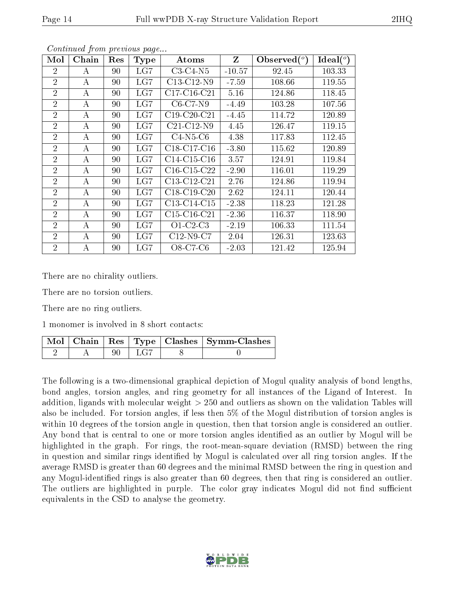| Mol            | Chain            | Res | <b>Type</b>  | Atoms         | Z        | Observed $(°)$ | Ideal $(^\circ)$ |
|----------------|------------------|-----|--------------|---------------|----------|----------------|------------------|
| $\overline{2}$ | А                | 90  | LG7          | $C3-C4-N5$    | $-10.57$ | 92.45          | 103.33           |
| $\overline{2}$ | А                | 90  | LG7          | $C13-C12-N9$  | $-7.59$  | 108.66         | 119.55           |
| $\overline{2}$ | А                | 90  | LG7          | $C17-C16-C21$ | 5.16     | 124.86         | 118.45           |
| $\overline{2}$ | А                | 90  | LG7          | $C6-C7-N9$    | $-4.49$  | 103.28         | 107.56           |
| $\overline{2}$ | А                | 90  | LG7          | $C19-C20-C21$ | $-4.45$  | 114.72         | 120.89           |
| $\overline{2}$ | А                | 90  | LG7          | $C21-C12-N9$  | 4.45     | 126.47         | 119.15           |
| $\overline{2}$ | А                | 90  | LG7          | $C4-N5-C6$    | 4.38     | 117.83         | 112.45           |
| $\overline{2}$ | А                | 90  | LG7          | $C18-C17-C16$ | $-3.80$  | 115.62         | 120.89           |
| $\overline{2}$ | А                | 90  | $_{\rm LG7}$ | $C14-C15-C16$ | 3.57     | 124.91         | 119.84           |
| $\overline{2}$ | А                | 90  | LG7          | $C16-C15-C22$ | $-2.90$  | 116.01         | 119.29           |
| $\overline{2}$ | А                | 90  | $_{\rm LG7}$ | C13-C12-C21   | 2.76     | 124.86         | 119.94           |
| $\overline{2}$ | А                | 90  | LG7          | $C18-C19-C20$ | 2.62     | 124.11         | 120.44           |
| $\overline{2}$ | А                | 90  | LG7          | C13-C14-C15   | $-2.38$  | 118.23         | 121.28           |
| $\overline{2}$ | $\boldsymbol{A}$ | 90  | LG7          | $C15-C16-C21$ | $-2.36$  | 116.37         | 118.90           |
| $\overline{2}$ | А                | 90  | LG7          | $O1-C2-C3$    | $-2.19$  | 106.33         | 111.54           |
| $\overline{2}$ | A                | 90  | LG7          | $C12-N9-C7$   | 2.04     | 126.31         | 123.63           |
| $\overline{2}$ | А                | 90  | LG7          | O8-C7-C6      | $-2.03$  | 121.42         | 125.94           |

Continued from previous page...

There are no chirality outliers.

There are no torsion outliers.

There are no ring outliers.

1 monomer is involved in 8 short contacts:

|  |    |             | Mol   Chain   Res   Type   Clashes   Symm-Clashes |
|--|----|-------------|---------------------------------------------------|
|  | 90 | $\perp$ LG7 |                                                   |

The following is a two-dimensional graphical depiction of Mogul quality analysis of bond lengths, bond angles, torsion angles, and ring geometry for all instances of the Ligand of Interest. In addition, ligands with molecular weight > 250 and outliers as shown on the validation Tables will also be included. For torsion angles, if less then 5% of the Mogul distribution of torsion angles is within 10 degrees of the torsion angle in question, then that torsion angle is considered an outlier. Any bond that is central to one or more torsion angles identified as an outlier by Mogul will be highlighted in the graph. For rings, the root-mean-square deviation (RMSD) between the ring in question and similar rings identified by Mogul is calculated over all ring torsion angles. If the average RMSD is greater than 60 degrees and the minimal RMSD between the ring in question and any Mogul-identied rings is also greater than 60 degrees, then that ring is considered an outlier. The outliers are highlighted in purple. The color gray indicates Mogul did not find sufficient equivalents in the CSD to analyse the geometry.

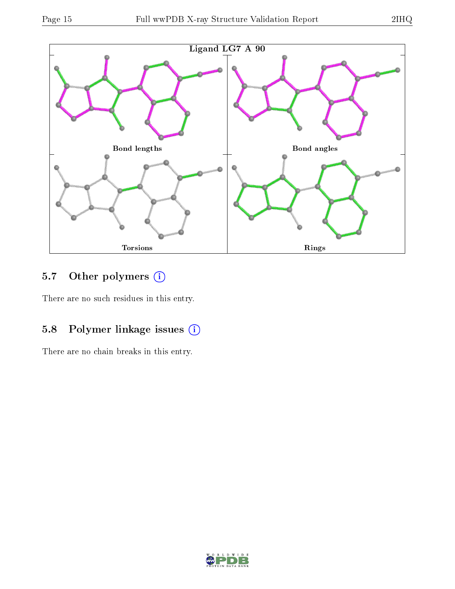

## 5.7 [O](https://www.wwpdb.org/validation/2017/XrayValidationReportHelp#nonstandard_residues_and_ligands)ther polymers (i)

There are no such residues in this entry.

## 5.8 Polymer linkage issues (i)

There are no chain breaks in this entry.

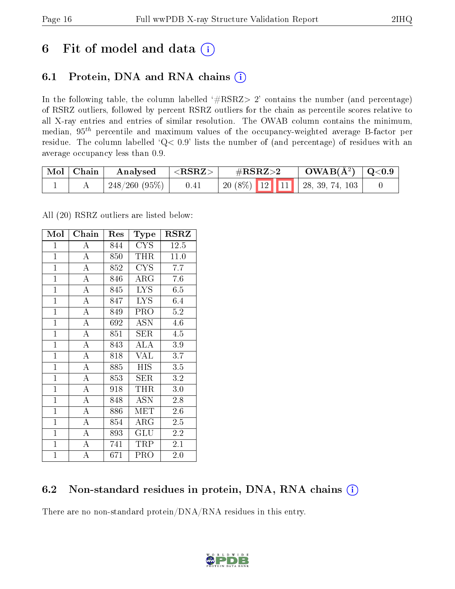## 6 Fit of model and data  $(i)$

## 6.1 Protein, DNA and RNA chains  $(i)$

In the following table, the column labelled  $#RSRZ> 2'$  contains the number (and percentage) of RSRZ outliers, followed by percent RSRZ outliers for the chain as percentile scores relative to all X-ray entries and entries of similar resolution. The OWAB column contains the minimum, median,  $95<sup>th</sup>$  percentile and maximum values of the occupancy-weighted average B-factor per residue. The column labelled ' $Q< 0.9$ ' lists the number of (and percentage) of residues with an average occupancy less than 0.9.

| $\mid$ Mol $\mid$ Chain | Analysed         | $^{\rm +}$ <rsrz></rsrz> | $\#\text{RSRZ}\text{>2}$ |  | $\text{OWAB}(\text{A}^2) \mid \text{Q}<0.9$ |  |  |
|-------------------------|------------------|--------------------------|--------------------------|--|---------------------------------------------|--|--|
|                         | $1248/260(95\%)$ | 0.41                     |                          |  |                                             |  |  |

All (20) RSRZ outliers are listed below:

| Mol            | Chain              | Res | Type                    | <b>RSRZ</b> |
|----------------|--------------------|-----|-------------------------|-------------|
| $\mathbf{1}$   | А                  | 844 | <b>CYS</b>              | 12.5        |
| $\overline{1}$ | $\overline{\rm A}$ | 850 | THR                     | 11.0        |
| $\mathbf{1}$   | $\overline{\rm A}$ | 852 | <b>CYS</b>              | 7.7         |
| $\mathbf{1}$   | $\bf{A}$           | 846 | $\rm{ARG}$              | 7.6         |
| $\mathbf{1}$   | $\overline{\rm A}$ | 845 | $\overline{\text{LYS}}$ | 6.5         |
| $\mathbf{1}$   | $\bf{A}$           | 847 | <b>LYS</b>              | 6.4         |
| $\mathbf{1}$   | $\bf{A}$           | 849 | PRO                     | 5.2         |
| $\overline{1}$ | $\overline{A}$     | 692 | ASN                     | 4.6         |
| $\mathbf{1}$   | $\overline{A}$     | 851 | <b>SER</b>              | 4.5         |
| $\mathbf{1}$   | $\overline{\rm A}$ | 843 | ALA                     | 3.9         |
| $\mathbf{1}$   | $\overline{\rm A}$ | 818 | <b>VAL</b>              | 3.7         |
| $\mathbf{1}$   | $\overline{\rm A}$ | 885 | HIS                     | 3.5         |
| $\overline{1}$ | $\overline{A}$     | 853 | SER                     | 3.2         |
| $\mathbf{1}$   | $\bf{A}$           | 918 | THR                     | 3.0         |
| $\overline{1}$ | $\overline{\rm A}$ | 848 | <b>ASN</b>              | 2.8         |
| $\mathbf{1}$   | $\bf{A}$           | 886 | MET                     | $2.6\,$     |
| $\overline{1}$ | $\overline{\rm A}$ | 854 | $\rm{ARG}$              | 2.5         |
| $\mathbf{1}$   | $\bf{A}$           | 893 | GLU                     | 2.2         |
| $\mathbf{1}$   | $\overline{\rm A}$ | 741 | TRP                     | 2.1         |
| $\mathbf{1}$   | A                  | 671 | PRO                     | 2.0         |

### 6.2 Non-standard residues in protein, DNA, RNA chains (i)

There are no non-standard protein/DNA/RNA residues in this entry.

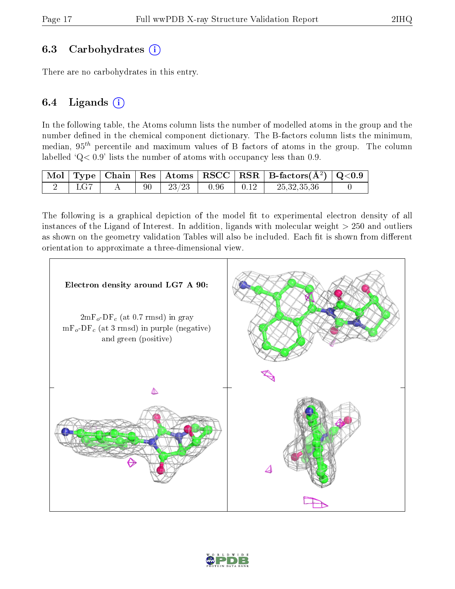### 6.3 Carbohydrates (i)

There are no carbohydrates in this entry.

### 6.4 Ligands  $(i)$

In the following table, the Atoms column lists the number of modelled atoms in the group and the number defined in the chemical component dictionary. The B-factors column lists the minimum, median,  $95<sup>th</sup>$  percentile and maximum values of B factors of atoms in the group. The column labelled  $Q < 0.9$ ' lists the number of atoms with occupancy less than 0.9.

|  |    |       |      | Mol   Type   Chain   Res   Atoms   RSCC   RSR   B-factors $(\mathrm{A}^2)$   Q<0.9 |  |
|--|----|-------|------|------------------------------------------------------------------------------------|--|
|  | 90 | 23/23 | 0.96 | 25,32,35,36                                                                        |  |

The following is a graphical depiction of the model fit to experimental electron density of all instances of the Ligand of Interest. In addition, ligands with molecular weight  $> 250$  and outliers as shown on the geometry validation Tables will also be included. Each fit is shown from different orientation to approximate a three-dimensional view.